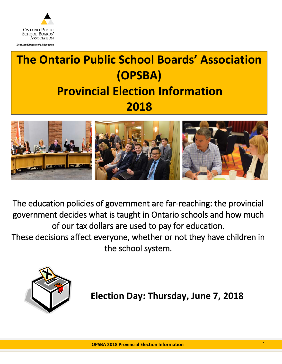

ading Education's Advocate

# **The Ontario Public School Boards' Association (OPSBA) Provincial Election Information 2018**



The education policies of government are far-reaching: the provincial government decides what is taught in Ontario schools and how much of our tax dollars are used to pay for education.

These decisions affect everyone, whether or not they have children in the school system.



**Election Day: Thursday, June 7, 2018**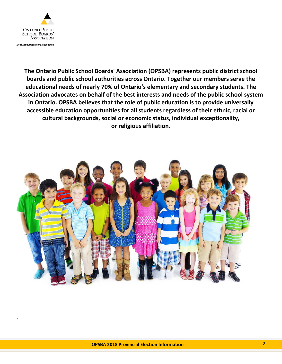

.

**The Ontario Public School Boards' Association (OPSBA) represents public district school boards and public school authorities across Ontario. Together our members serve the educational needs of nearly 70% of Ontario's elementary and secondary students. The Association advocates on behalf of the best interests and needs of the public school system in Ontario. OPSBA believes that the role of public education is to provide universally accessible education opportunities for all students regardless of their ethnic, racial or cultural backgrounds, social or economic status, individual exceptionality, or religious affiliation.**

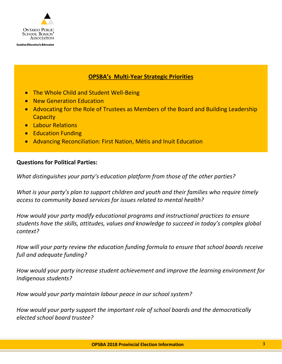

**OPSBA's Multi-Year Strategic Priorities**

- The Whole Child and Student Well-Being
- New Generation Education
- Advocating for the Role of Trustees as Members of the Board and Building Leadership **Capacity**
- Labour Relations
- Education Funding
- Advancing Reconciliation: First Nation, Métis and Inuit Education

## **Questions for Political Parties:**

*What distinguishes your party's education platform from those of the other parties?*

*What is your party's plan to support children and youth and their families who require timely access to community based services for issues related to mental health?*

*How would your party modify educational programs and instructional practices to ensure students have the skills, attitudes, values and knowledge to succeed in today's complex global context?* 

*How will your party review the education funding formula to ensure that school boards receive full and adequate funding?*

*How would your party increase student achievement and improve the learning environment for Indigenous students?*

*How would your party maintain labour peace in our school system?*

*How would your party support the important role of school boards and the democratically elected school board trustee?*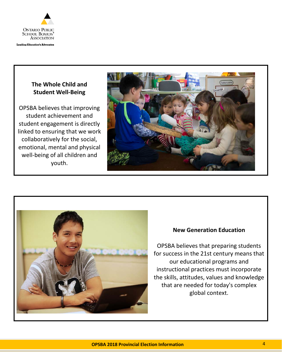

## **The Whole Child and Student Well-Being**

OPSBA believes that improving student achievement and student engagement is directly linked to ensuring that we work collaboratively for the social, emotional, mental and physical well-being of all children and youth.





#### **New Generation Education**

OPSBA believes that preparing students for success in the 21st century means that our educational programs and instructional practices must incorporate the skills, attitudes, values and knowledge that are needed for today's complex global context.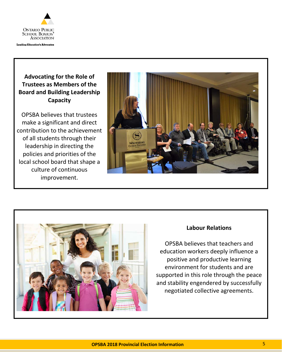

# **Advocating for the Role of Trustees as Members of the Board and Building Leadership Capacity**

OPSBA believes that trustees make a significant and direct contribution to the achievement of all students through their leadership in directing the policies and priorities of the local school board that shape a culture of continuous improvement.





#### **Labour Relations**

OPSBA believes that teachers and education workers deeply influence a positive and productive learning environment for students and are supported in this role through the peace and stability engendered by successfully negotiated collective agreements.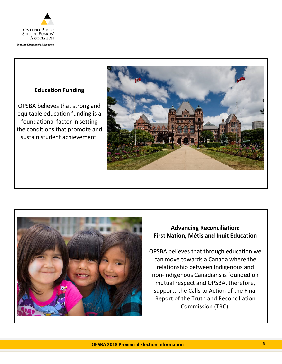

ading Education's Advocates

## **Education Funding**

OPSBA believes that strong and equitable education funding is a foundational factor in setting the conditions that promote and sustain student achievement.





# **Advancing Reconciliation: First Nation, Métis and Inuit Education**

OPSBA believes that through education we can move towards a Canada where the relationship between Indigenous and non-Indigenous Canadians is founded on mutual respect and OPSBA, therefore, supports the Calls to Action of the Final Report of the Truth and Reconciliation Commission (TRC).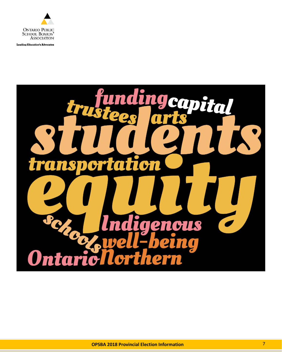

**Leading Education's Advocates**